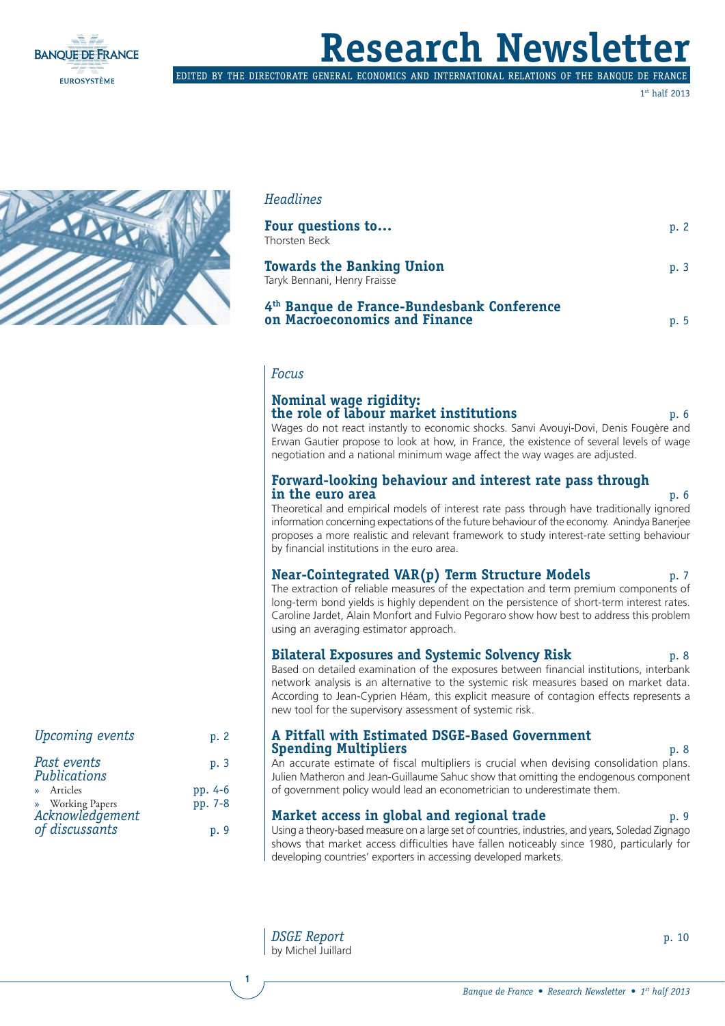

## **Research Newsletter**

edited by the directorate general economics and international relations of the banque de france

1st half 2013



*Upcoming events* p. 2

*Past events* p. 3

*of discussants* p. 9

» Articles pp. 4-6 Working Papers pp. 7-8

*Publications*

*Acknowledgement*

#### *Headlines*

| Four questions to<br>Thorsten Beck                                          | p.2 |
|-----------------------------------------------------------------------------|-----|
| <b>Towards the Banking Union</b><br>Taryk Bennani, Henry Fraisse            | p.3 |
| 4th Banque de France-Bundesbank Conference<br>on Macroeconomics and Finance | p.5 |

#### *Focus*

#### **Nominal wage rigidity: the role of labour market institutions** p. 6

Wages do not react instantly to economic shocks. Sanvi Avouyi-Dovi, Denis Fougère and Erwan Gautier propose to look at how, in France, the existence of several levels of wage negotiation and a national minimum wage affect the way wages are adjusted.

## **Forward-looking behaviour and interest rate pass through in the euro area** p. 6

Theoretical and empirical models of interest rate pass through have traditionally ignored information concerning expectations of the future behaviour of the economy. Anindya Banerjee proposes a more realistic and relevant framework to study interest-rate setting behaviour by financial institutions in the euro area.

#### **Near-Cointegrated VAR(p) Term Structure Models** p. 7

The extraction of reliable measures of the expectation and term premium components of long-term bond yields is highly dependent on the persistence of short-term interest rates. Caroline Jardet, Alain Monfort and Fulvio Pegoraro show how best to address this problem using an averaging estimator approach.

#### **Bilateral Exposures and Systemic Solvency Risk** p. 8

Based on detailed examination of the exposures between financial institutions, interbank network analysis is an alternative to the systemic risk measures based on market data. According to Jean-Cyprien Héam, this explicit measure of contagion effects represents a new tool for the supervisory assessment of systemic risk.

#### **A Pitfall with Estimated DSGE-Based Government Spending Multipliers p. 8**

An accurate estimate of fiscal multipliers is crucial when devising consolidation plans. Julien Matheron and Jean-Guillaume Sahuc show that omitting the endogenous component of government policy would lead an econometrician to underestimate them.

#### **Market access in global and regional trade** p. 9

Using a theory-based measure on a large set of countries, industries, and years, Soledad Zignago shows that market access difficulties have fallen noticeably since 1980, particularly for developing countries' exporters in accessing developed markets.

by Michel Juillard

**1**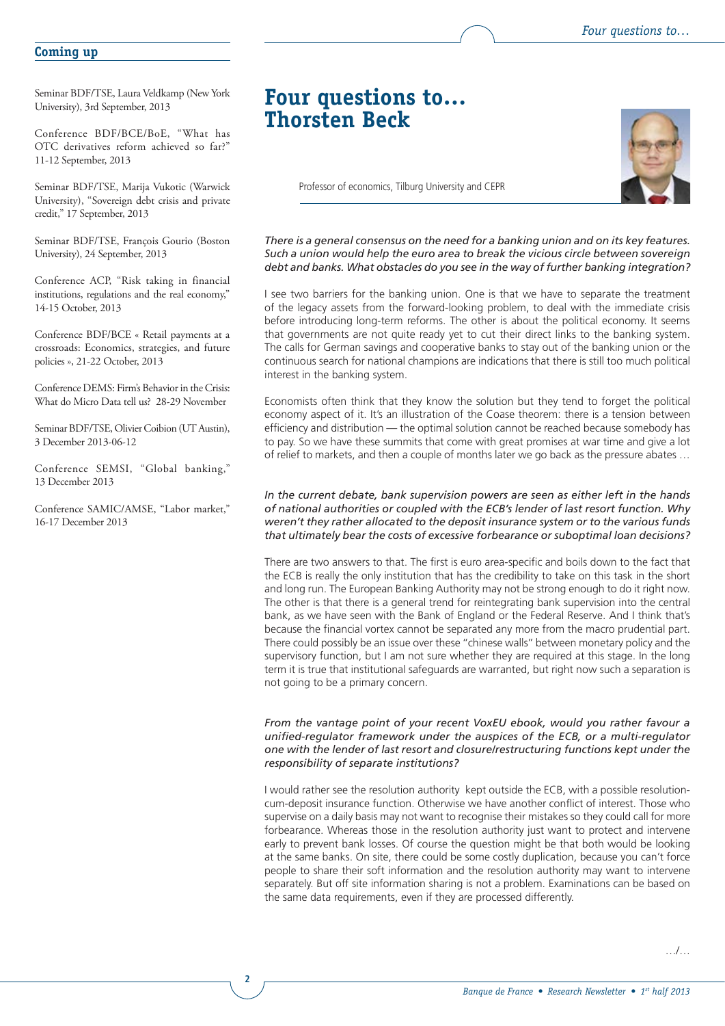#### **Coming up**

Seminar BDF/TSE, Laura Veldkamp (New York University), 3rd September, 2013

Conference BDF/BCE/BoE, "What has OTC derivatives reform achieved so far?" 11-12 September, 2013

Seminar BDF/TSE, Marija Vukotic (Warwick University), ''Sovereign debt crisis and private credit,'' 17 September, 2013

Seminar BDF/TSE, François Gourio (Boston University), 24 September, 2013

Conference ACP, "Risk taking in financial institutions, regulations and the real economy," 14-15 October, 2013

Conference BDF/BCE « Retail payments at a crossroads: Economics, strategies, and future policies », 21-22 October, 2013

Conference DEMS: Firm's Behavior in the Crisis: What do Micro Data tell us? 28-29 November

Seminar BDF/TSE, Olivier Coibion (UT Austin), 3 December 2013-06-12

Conference SEMSI, "Global banking," 13 December 2013

Conference SAMIC/AMSE, "Labor market," 16-17 December 2013

**2**

### **Four questions to… Thorsten Beck**



Professor of economics, Tilburg University and CEPR

*There is a general consensus on the need for a banking union and on its key features. Such a union would help the euro area to break the vicious circle between sovereign debt and banks. What obstacles do you see in the way of further banking integration?*

I see two barriers for the banking union. One is that we have to separate the treatment of the legacy assets from the forward-looking problem, to deal with the immediate crisis before introducing long-term reforms. The other is about the political economy. It seems that governments are not quite ready yet to cut their direct links to the banking system. The calls for German savings and cooperative banks to stay out of the banking union or the continuous search for national champions are indications that there is still too much political interest in the banking system.

Economists often think that they know the solution but they tend to forget the political economy aspect of it. It's an illustration of the Coase theorem: there is a tension between efficiency and distribution — the optimal solution cannot be reached because somebody has to pay. So we have these summits that come with great promises at war time and give a lot of relief to markets, and then a couple of months later we go back as the pressure abates …

#### *In the current debate, bank supervision powers are seen as either left in the hands of national authorities or coupled with the ECB's lender of last resort function. Why weren't they rather allocated to the deposit insurance system or to the various funds that ultimately bear the costs of excessive forbearance or suboptimal loan decisions?*

There are two answers to that. The first is euro area-specific and boils down to the fact that the ECB is really the only institution that has the credibility to take on this task in the short and long run. The European Banking Authority may not be strong enough to do it right now. The other is that there is a general trend for reintegrating bank supervision into the central bank, as we have seen with the Bank of England or the Federal Reserve. And I think that's because the financial vortex cannot be separated any more from the macro prudential part. There could possibly be an issue over these ''chinese walls'' between monetary policy and the supervisory function, but I am not sure whether they are required at this stage. In the long term it is true that institutional safeguards are warranted, but right now such a separation is not going to be a primary concern.

#### *From the vantage point of your recent VoxEU ebook, would you rather favour a unified-regulator framework under the auspices of the ECB, or a multi-regulator one with the lender of last resort and closure/restructuring functions kept under the responsibility of separate institutions?*

I would rather see the resolution authority kept outside the ECB, with a possible resolutioncum-deposit insurance function. Otherwise we have another conflict of interest. Those who supervise on a daily basis may not want to recognise their mistakes so they could call for more forbearance. Whereas those in the resolution authority just want to protect and intervene early to prevent bank losses. Of course the question might be that both would be looking at the same banks. On site, there could be some costly duplication, because you can't force people to share their soft information and the resolution authority may want to intervene separately. But off site information sharing is not a problem. Examinations can be based on the same data requirements, even if they are processed differently.

…/…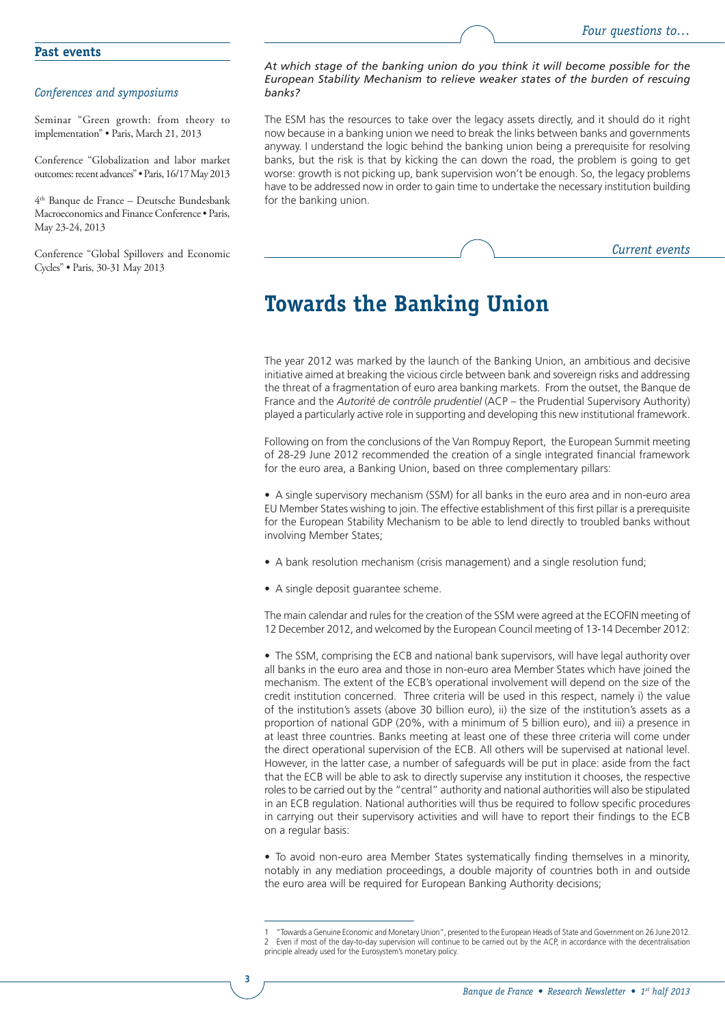#### *Conferences and symposiums*

Seminar "Green growth: from theory to implementation" • Paris, March 21, 2013

Conference "Globalization and labor market outcomes: recent advances" • Paris, 16/17 May 2013

4th Banque de France – Deutsche Bundesbank Macroeconomics and Finance Conference • Paris, May 23-24, 2013

Conference "Global Spillovers and Economic Cycles" • Paris, 30-31 May 2013

#### *At which stage of the banking union do you think it will become possible for the European Stability Mechanism to relieve weaker states of the burden of rescuing banks?*

The ESM has the resources to take over the legacy assets directly, and it should do it right now because in a banking union we need to break the links between banks and governments anyway. I understand the logic behind the banking union being a prerequisite for resolving banks, but the risk is that by kicking the can down the road, the problem is going to get worse: growth is not picking up, bank supervision won't be enough. So, the legacy problems have to be addressed now in order to gain time to undertake the necessary institution building for the banking union.

*Current events*

## **Towards the Banking Union**

The year 2012 was marked by the launch of the Banking Union, an ambitious and decisive initiative aimed at breaking the vicious circle between bank and sovereign risks and addressing the threat of a fragmentation of euro area banking markets. From the outset, the Banque de France and the *Autorité de contrôle prudentiel* (ACP – the Prudential Supervisory Authority) played a particularly active role in supporting and developing this new institutional framework.

Following on from the conclusions of the Van Rompuy Report, the European Summit meeting of 28-29 June 2012 recommended the creation of a single integrated financial framework for the euro area, a Banking Union, based on three complementary pillars:

• A single supervisory mechanism (SSM) for all banks in the euro area and in non-euro area EU Member States wishing to join. The effective establishment of this first pillar is a prerequisite for the European Stability Mechanism to be able to lend directly to troubled banks without involving Member States;

- A bank resolution mechanism (crisis management) and a single resolution fund;
- A single deposit guarantee scheme.

**3**

The main calendar and rules for the creation of the SSM were agreed at the ECOFIN meeting of 12 December 2012, and welcomed by the European Council meeting of 13-14 December 2012:

• The SSM, comprising the ECB and national bank supervisors, will have legal authority over all banks in the euro area and those in non-euro area Member States which have joined the mechanism. The extent of the ECB's operational involvement will depend on the size of the credit institution concerned. Three criteria will be used in this respect, namely i) the value of the institution's assets (above 30 billion euro), ii) the size of the institution's assets as a proportion of national GDP (20%, with a minimum of 5 billion euro), and iii) a presence in at least three countries. Banks meeting at least one of these three criteria will come under the direct operational supervision of the ECB. All others will be supervised at national level. However, in the latter case, a number of safeguards will be put in place: aside from the fact that the ECB will be able to ask to directly supervise any institution it chooses, the respective roles to be carried out by the "central" authority and national authorities will also be stipulated in an ECB regulation. National authorities will thus be required to follow specific procedures in carrying out their supervisory activities and will have to report their findings to the ECB on a regular basis:

• To avoid non-euro area Member States systematically finding themselves in a minority, notably in any mediation proceedings, a double majority of countries both in and outside the euro area will be required for European Banking Authority decisions;

<sup>1</sup> "Towards a Genuine Economic and Monetary Union", presented to the European Heads of State and Government on 26 June 2012. 2 Even if most of the day-to-day supervision will continue to be carried out by the ACP, in accordance with the decentralisation principle already used for the Eurosystem's monetary policy.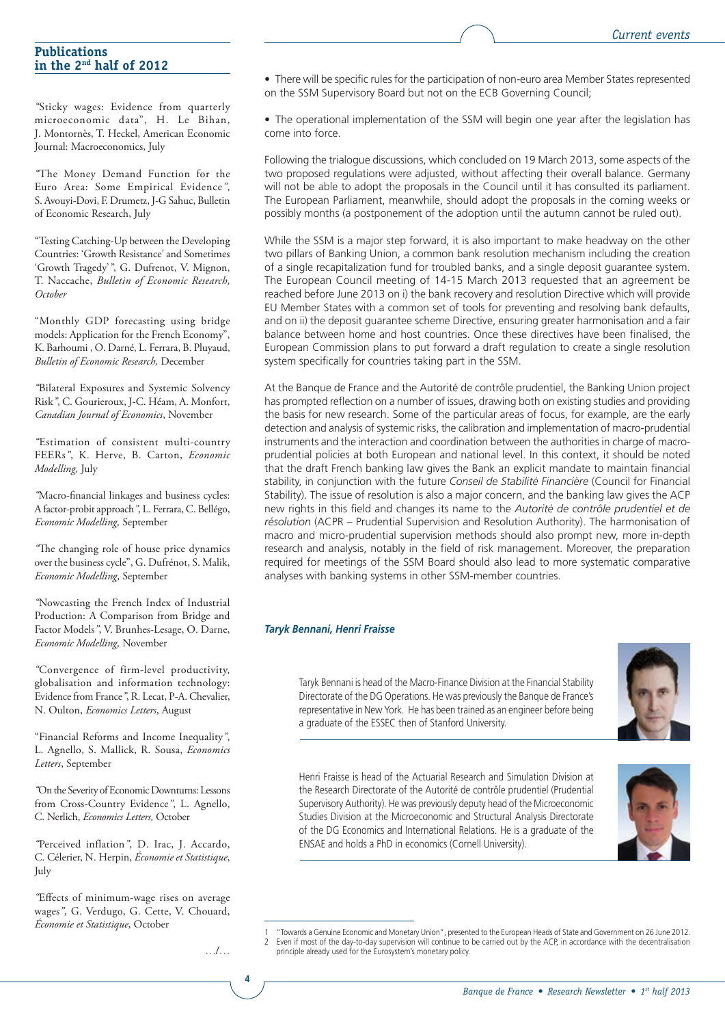#### **Publications in the 2nd half of 2012**

*"*Sticky wages: Evidence from quarterly microeconomic data", H. Le Bihan, J. Montornès, T. Heckel, American Economic Journal: Macroeconomics, July

*"*The Money Demand Function for the Euro Area: Some Empirical Evidence*"*, S. Avouyi-Dovi, F. Drumetz, J-G Sahuc, Bulletin of Economic Research, July

"Testing Catching-Up between the Developing Countries: 'Growth Resistance' and Sometimes 'Growth Tragedy'*"*, G. Dufrenot, V. Mignon, T. Naccache, *Bulletin of Economic Research, October*

"Monthly GDP forecasting using bridge models: Application for the French Economy", K. Barhoumi , O. Darné, L. Ferrara, B. Pluyaud, *Bulletin of Economic Research,* December

*"*Bilateral Exposures and Systemic Solvency Risk*"*, C. Gourieroux, J-C. Héam, A. Monfort, *Canadian Journal of Economics*, November

*"*Estimation of consistent multi-country FEERs*"*, K. Herve, B. Carton, *Economic Modelling,* July

*"*Macro-financial linkages and business cycles: A factor-probit approach*"*, L. Ferrara, C. Bellégo, *Economic Modelling,* September

*"*The changing role of house price dynamics over the business cycle", G. Dufrénot, S. Malik, *Economic Modelling*, September

*"*Nowcasting the French Index of Industrial Production: A Comparison from Bridge and Factor Models*"*, V. Brunhes-Lesage, O. Darne, *Economic Modelling,* November

*"*Convergence of firm-level productivity, globalisation and information technology: Evidence from France*"*, R. Lecat, P-A. Chevalier, N. Oulton, *Economics Letters*, August

"Financial Reforms and Income Inequality*"*, L. Agnello, S. Mallick, R. Sousa, *Economics Letters*, September

*"*On the Severity of Economic Downturns: Lessons from Cross-Country Evidence*"*, L. Agnello, C. Nerlich, *Economics Letters,* October

*"*Perceived inflation*"*, D. Irac, J. Accardo, C. Célerier, N. Herpin, *Économie et Statistique*, July

*"*Effects of minimum-wage rises on average wages*"*, G. Verdugo, G. Cette, V. Chouard, *Économie et Statistique*, October

• There will be specific rules for the participation of non-euro area Member States represented on the SSM Supervisory Board but not on the ECB Governing Council;

• The operational implementation of the SSM will begin one year after the legislation has come into force.

Following the trialogue discussions, which concluded on 19 March 2013, some aspects of the two proposed regulations were adjusted, without affecting their overall balance. Germany will not be able to adopt the proposals in the Council until it has consulted its parliament. The European Parliament, meanwhile, should adopt the proposals in the coming weeks or possibly months (a postponement of the adoption until the autumn cannot be ruled out).

While the SSM is a major step forward, it is also important to make headway on the other two pillars of Banking Union, a common bank resolution mechanism including the creation of a single recapitalization fund for troubled banks, and a single deposit guarantee system. The European Council meeting of 14-15 March 2013 requested that an agreement be reached before June 2013 on i) the bank recovery and resolution Directive which will provide EU Member States with a common set of tools for preventing and resolving bank defaults, and on ii) the deposit guarantee scheme Directive, ensuring greater harmonisation and a fair balance between home and host countries. Once these directives have been finalised, the European Commission plans to put forward a draft regulation to create a single resolution system specifically for countries taking part in the SSM.

At the Banque de France and the Autorité de contrôle prudentiel, the Banking Union project has prompted reflection on a number of issues, drawing both on existing studies and providing the basis for new research. Some of the particular areas of focus, for example, are the early detection and analysis of systemic risks, the calibration and implementation of macro-prudential instruments and the interaction and coordination between the authorities in charge of macroprudential policies at both European and national level. In this context, it should be noted that the draft French banking law gives the Bank an explicit mandate to maintain financial stability, in conjunction with the future *Conseil de Stabilité Financière* (Council for Financial Stability). The issue of resolution is also a major concern, and the banking law gives the ACP new rights in this field and changes its name to the *Autorité de contrôle prudentiel et de résolution* (ACPR – Prudential Supervision and Resolution Authority). The harmonisation of macro and micro-prudential supervision methods should also prompt new, more in-depth research and analysis, notably in the field of risk management. Moreover, the preparation required for meetings of the SSM Board should also lead to more systematic comparative analyses with banking systems in other SSM-member countries.

#### *Taryk Bennani, Henri Fraisse*

Taryk Bennani is head of the Macro-Finance Division at the Financial Stability Directorate of the DG Operations. He was previously the Banque de France's representative in New York. He has been trained as an engineer before being a graduate of the ESSEC then of Stanford University.



Henri Fraisse is head of the Actuarial Research and Simulation Division at the Research Directorate of the Autorité de contrôle prudentiel (Prudential Supervisory Authority). He was previously deputy head of the Microeconomic Studies Division at the Microeconomic and Structural Analysis Directorate of the DG Economics and International Relations. He is a graduate of the ENSAE and holds a PhD in economics (Cornell University).



1 "Towards a Genuine Economic and Monetary Union", presented to the European Heads of State and Government on 26 June 2012.<br>2 Even if most of the day-to-day supervision will continue to be carried out by the ACP, in acc principle already used for the Eurosystem's monetary policy.

…/…

**4**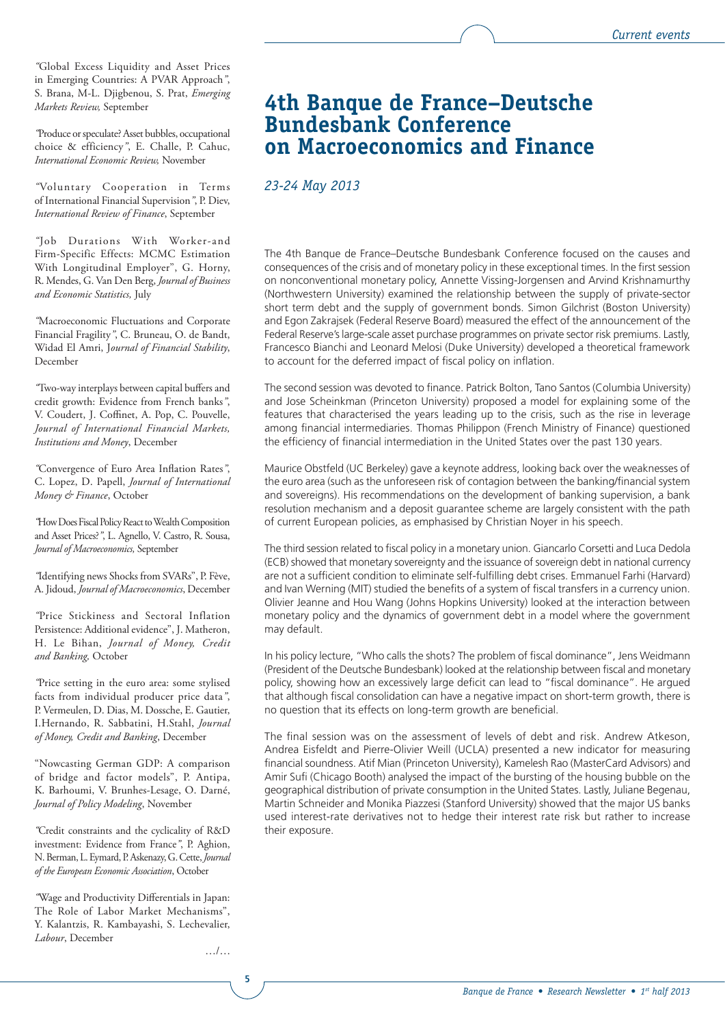*"*Global Excess Liquidity and Asset Prices in Emerging Countries: A PVAR Approach*"*, S. Brana, M-L. Djigbenou, S. Prat, *Emerging Markets Review,* September

*"*Produce or speculate? Asset bubbles, occupational choice & efficiency*"*, E. Challe, P. Cahuc, *International Economic Review,* November

*"*Voluntary Cooperation in Terms of International Financial Supervision*"*, P. Diev, *International Review of Finance*, September

*"*Job Durations With Worker-and Firm-Specific Effects: MCMC Estimation With Longitudinal Employer", G. Horny, R. Mendes, G. Van Den Berg, *Journal of Business and Economic Statistics,* July

*"*Macroeconomic Fluctuations and Corporate Financial Fragility*"*, C. Bruneau, O. de Bandt, Widad El Amri, J*ournal of Financial Stability*, December

*"*Two-way interplays between capital buffers and credit growth: Evidence from French banks*"*, V. Coudert, J. Coffinet, A. Pop, C. Pouvelle, *Journal of International Financial Markets, Institutions and Money*, December

*"*Convergence of Euro Area Inflation Rates*"*, C. Lopez, D. Papell, *Journal of International Money & Finance*, October

*"*How Does Fiscal Policy React to Wealth Composition and Asset Prices?*"*, L. Agnello, V. Castro, R. Sousa, *Journal of Macroeconomics,* September

*"*Identifying news Shocks from SVARs", P. Fève, A. Jidoud, *Journal of Macroeconomics*, December

*"*Price Stickiness and Sectoral Inflation Persistence: Additional evidence", J. Matheron, H. Le Bihan, *Journal of Money, Credit and Banking,* October

*"*Price setting in the euro area: some stylised facts from individual producer price data*"*, P. Vermeulen, D. Dias, M. Dossche, E. Gautier, I.Hernando, R. Sabbatini, H.Stahl, *Journal of Money, Credit and Banking*, December

"Nowcasting German GDP: A comparison of bridge and factor models", P. Antipa, K. Barhoumi, V. Brunhes-Lesage, O. Darné, *Journal of Policy Modeling*, November

*"*Credit constraints and the cyclicality of R&D investment: Evidence from France*"*, P. Aghion, N. Berman, L. Eymard, P. Askenazy, G. Cette, *Journal of the European Economic Association*, October

*"*Wage and Productivity Differentials in Japan: The Role of Labor Market Mechanisms", Y. Kalantzis, R. Kambayashi, S. Lechevalier, *Labour*, December

…/…

**5**

### **4th Banque de France–Deutsche Bundesbank Conference on Macroeconomics and Finance**

#### *23-24 May 2013*

The 4th Banque de France–Deutsche Bundesbank Conference focused on the causes and consequences of the crisis and of monetary policy in these exceptional times. In the first session on nonconventional monetary policy, Annette Vissing-Jorgensen and Arvind Krishnamurthy (Northwestern University) examined the relationship between the supply of private-sector short term debt and the supply of government bonds. Simon Gilchrist (Boston University) and Egon Zakrajsek (Federal Reserve Board) measured the effect of the announcement of the Federal Reserve's large-scale asset purchase programmes on private sector risk premiums. Lastly, Francesco Bianchi and Leonard Melosi (Duke University) developed a theoretical framework to account for the deferred impact of fiscal policy on inflation.

The second session was devoted to finance. Patrick Bolton, Tano Santos (Columbia University) and Jose Scheinkman (Princeton University) proposed a model for explaining some of the features that characterised the years leading up to the crisis, such as the rise in leverage among financial intermediaries. Thomas Philippon (French Ministry of Finance) questioned the efficiency of financial intermediation in the United States over the past 130 years.

Maurice Obstfeld (UC Berkeley) gave a keynote address, looking back over the weaknesses of the euro area (such as the unforeseen risk of contagion between the banking/financial system and sovereigns). His recommendations on the development of banking supervision, a bank resolution mechanism and a deposit guarantee scheme are largely consistent with the path of current European policies, as emphasised by Christian Noyer in his speech.

The third session related to fiscal policy in a monetary union. Giancarlo Corsetti and Luca Dedola (ECB) showed that monetary sovereignty and the issuance of sovereign debt in national currency are not a sufficient condition to eliminate self-fulfilling debt crises. Emmanuel Farhi (Harvard) and Ivan Werning (MIT) studied the benefits of a system of fiscal transfers in a currency union. Olivier Jeanne and Hou Wang (Johns Hopkins University) looked at the interaction between monetary policy and the dynamics of government debt in a model where the government may default.

In his policy lecture, "Who calls the shots? The problem of fiscal dominance", Jens Weidmann (President of the Deutsche Bundesbank) looked at the relationship between fiscal and monetary policy, showing how an excessively large deficit can lead to "fiscal dominance". He argued that although fiscal consolidation can have a negative impact on short-term growth, there is no question that its effects on long-term growth are beneficial.

The final session was on the assessment of levels of debt and risk. Andrew Atkeson, Andrea Eisfeldt and Pierre-Olivier Weill (UCLA) presented a new indicator for measuring financial soundness. Atif Mian (Princeton University), Kamelesh Rao (MasterCard Advisors) and Amir Sufi (Chicago Booth) analysed the impact of the bursting of the housing bubble on the geographical distribution of private consumption in the United States. Lastly, Juliane Begenau, Martin Schneider and Monika Piazzesi (Stanford University) showed that the major US banks used interest-rate derivatives not to hedge their interest rate risk but rather to increase their exposure.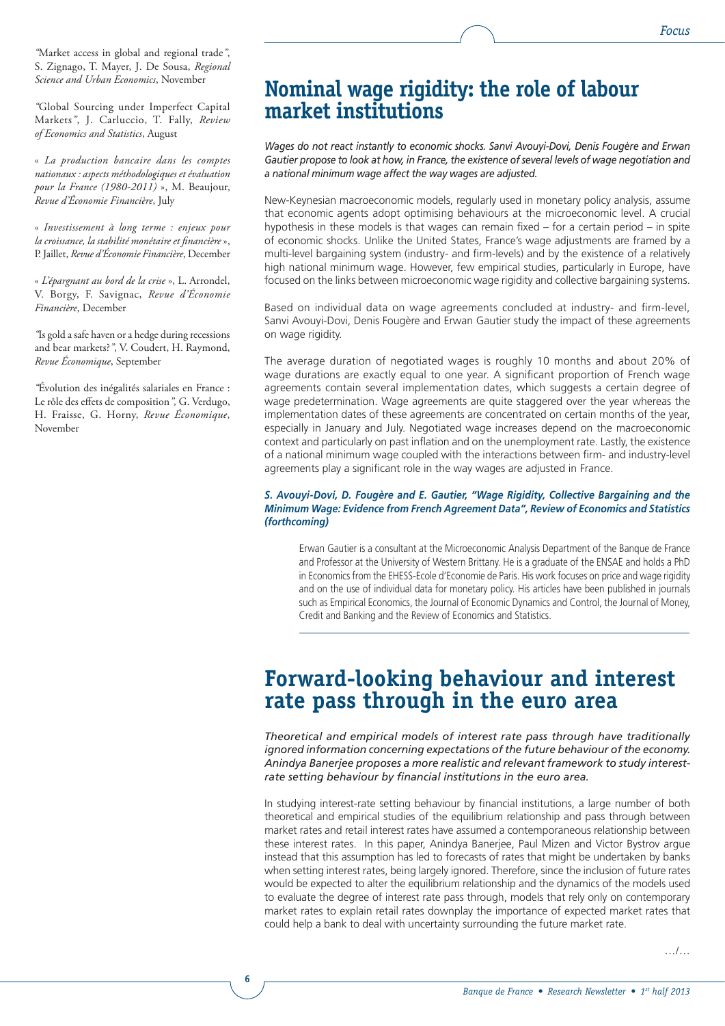*"*Market access in global and regional trade*"*, S. Zignago, T. Mayer, J. De Sousa, *Regional Science and Urban Economics*, November

*"*Global Sourcing under Imperfect Capital Markets*"*, J. Carluccio, T. Fally, *Review of Economics and Statistics*, August

« *La production bancaire dans les comptes nationaux : aspects méthodologiques et évaluation pour la France (1980‑2011)* », M. Beaujour, *Revue d'Économie Financière*, July

« *Investissement à long terme : enjeux pour la croissance, la stabilité monétaire et financière* », P. Jaillet, *Revue d'Économie Financière*, December

« *L'épargnant au bord de la crise* », L. Arrondel, V. Borgy, F. Savignac, *Revue d'Économie Financière*, December

*"*Is gold a safe haven or a hedge during recessions and bear markets?*"*, V. Coudert, H. Raymond, *Revue Économique*, September

*"*Évolution des inégalités salariales en France : Le rôle des effets de composition*",* G. Verdugo, H. Fraisse, G. Horny, *Revue Économique,* November

**6**

## **Nominal wage rigidity: the role of labour market institutions**

*Wages do not react instantly to economic shocks. Sanvi Avouyi-Dovi, Denis Fougère and Erwan Gautier propose to look at how, in France, the existence of several levels of wage negotiation and a national minimum wage affect the way wages are adjusted.*

New-Keynesian macroeconomic models, regularly used in monetary policy analysis, assume that economic agents adopt optimising behaviours at the microeconomic level. A crucial hypothesis in these models is that wages can remain fixed – for a certain period – in spite of economic shocks. Unlike the United States, France's wage adjustments are framed by a multi-level bargaining system (industry- and firm-levels) and by the existence of a relatively high national minimum wage. However, few empirical studies, particularly in Europe, have focused on the links between microeconomic wage rigidity and collective bargaining systems.

Based on individual data on wage agreements concluded at industry- and firm-level, Sanvi Avouyi-Dovi, Denis Fougère and Erwan Gautier study the impact of these agreements on wage rigidity.

The average duration of negotiated wages is roughly 10 months and about 20% of wage durations are exactly equal to one year. A significant proportion of French wage agreements contain several implementation dates, which suggests a certain degree of wage predetermination. Wage agreements are quite staggered over the year whereas the implementation dates of these agreements are concentrated on certain months of the year, especially in January and July. Negotiated wage increases depend on the macroeconomic context and particularly on past inflation and on the unemployment rate. Lastly, the existence of a national minimum wage coupled with the interactions between firm- and industry-level agreements play a significant role in the way wages are adjusted in France.

#### *S. Avouyi-Dovi, D. Fougère and E. Gautier, "Wage Rigidity, Collective Bargaining and the Minimum Wage: Evidence from French Agreement Data", Review of Economics and Statistics (forthcoming)*

Erwan Gautier is a consultant at the Microeconomic Analysis Department of the Banque de France and Professor at the University of Western Brittany. He is a graduate of the ENSAE and holds a PhD in Economics from the EHESS-Ecole d'Economie de Paris. His work focuses on price and wage rigidity and on the use of individual data for monetary policy. His articles have been published in journals such as Empirical Economics, the Journal of Economic Dynamics and Control, the Journal of Money, Credit and Banking and the Review of Economics and Statistics.

## **Forward-looking behaviour and interest rate pass through in the euro area**

*Theoretical and empirical models of interest rate pass through have traditionally ignored information concerning expectations of the future behaviour of the economy. Anindya Banerjee proposes a more realistic and relevant framework to study interestrate setting behaviour by financial institutions in the euro area.*

In studying interest-rate setting behaviour by financial institutions, a large number of both theoretical and empirical studies of the equilibrium relationship and pass through between market rates and retail interest rates have assumed a contemporaneous relationship between these interest rates. In this paper, Anindya Banerjee, Paul Mizen and Victor Bystrov argue instead that this assumption has led to forecasts of rates that might be undertaken by banks when setting interest rates, being largely ignored. Therefore, since the inclusion of future rates would be expected to alter the equilibrium relationship and the dynamics of the models used to evaluate the degree of interest rate pass through, models that rely only on contemporary market rates to explain retail rates downplay the importance of expected market rates that could help a bank to deal with uncertainty surrounding the future market rate.

…/…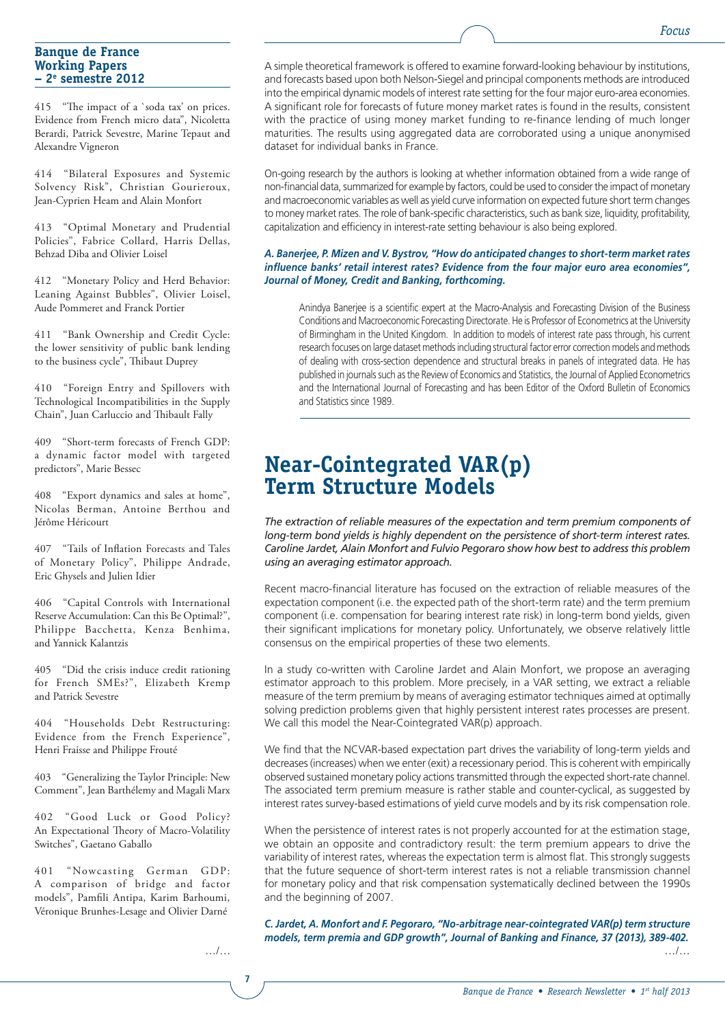#### **Banque de France Working Papers – 2e semestre 2012**

415 "The impact of a `soda tax' on prices. Evidence from French micro data", Nicoletta Berardi, Patrick Sevestre, Marine Tepaut and Alexandre Vigneron

414 "Bilateral Exposures and Systemic Solvency Risk", Christian Gourieroux, Jean-Cyprien Heam and Alain Monfort

413 "Optimal Monetary and Prudential Policies", Fabrice Collard, Harris Dellas, Behzad Diba and Olivier Loisel

412 "Monetary Policy and Herd Behavior: Leaning Against Bubbles", Olivier Loisel, Aude Pommeret and Franck Portier

411 "Bank Ownership and Credit Cycle: the lower sensitivity of public bank lending to the business cycle", Thibaut Duprey

410 "Foreign Entry and Spillovers with Technological Incompatibilities in the Supply Chain", Juan Carluccio and Thibault Fally

409 "Short-term forecasts of French GDP: a dynamic factor model with targeted predictors", Marie Bessec

408 "Export dynamics and sales at home", Nicolas Berman, Antoine Berthou and Jérôme Héricourt

407 "Tails of Inflation Forecasts and Tales of Monetary Policy", Philippe Andrade, Eric Ghysels and Julien Idier

406 "Capital Controls with International Reserve Accumulation: Can this Be Optimal?", Philippe Bacchetta, Kenza Benhima, and Yannick Kalantzis

405 "Did the crisis induce credit rationing for French SMEs?", Elizabeth Kremp and Patrick Sevestre

404 "Households Debt Restructuring: Evidence from the French Experience", Henri Fraisse and Philippe Frouté

403 "Generalizing the Taylor Principle: New Comment", Jean Barthélemy and Magali Marx

402 "Good Luck or Good Policy? An Expectational Theory of Macro-Volatility Switches", Gaetano Gaballo

401 "Nowcasting German GDP: A comparison of bridge and factor models", Pamfili Antipa, Karim Barhoumi, Véronique Brunhes-Lesage and Olivier Darné

A simple theoretical framework is offered to examine forward-looking behaviour by institutions, and forecasts based upon both Nelson-Siegel and principal components methods are introduced into the empirical dynamic models of interest rate setting for the four major euro-area economies. A significant role for forecasts of future money market rates is found in the results, consistent with the practice of using money market funding to re-finance lending of much longer maturities. The results using aggregated data are corroborated using a unique anonymised dataset for individual banks in France.

On-going research by the authors is looking at whether information obtained from a wide range of non-financial data, summarized for example by factors, could be used to consider the impact of monetary and macroeconomic variables as well as yield curve information on expected future short term changes to money market rates. The role of bank-specific characteristics, such as bank size, liquidity, profitability, capitalization and efficiency in interest-rate setting behaviour is also being explored.

#### *A. Banerjee, P. Mizen and V. Bystrov, "How do anticipated changes to short-term market rates influence banks' retail interest rates? Evidence from the four major euro area economies", Journal of Money, Credit and Banking, forthcoming.*

Anindya Banerjee is a scientific expert at the Macro-Analysis and Forecasting Division of the Business Conditions and Macroeconomic Forecasting Directorate. He is Professor of Econometrics at the University of Birmingham in the United Kingdom. In addition to models of interest rate pass through, his current research focuses on large dataset methods including structural factor error correction models and methods of dealing with cross-section dependence and structural breaks in panels of integrated data. He has published in journals such as the Review of Economics and Statistics, the Journal of Applied Econometrics and the International Journal of Forecasting and has been Editor of the Oxford Bulletin of Economics and Statistics since 1989.

# **Near-Cointegrated VAR(p) Term Structure Models**

*The extraction of reliable measures of the expectation and term premium components of long-term bond yields is highly dependent on the persistence of short-term interest rates. Caroline Jardet, Alain Monfort and Fulvio Pegoraro show how best to address this problem using an averaging estimator approach.*

Recent macro-financial literature has focused on the extraction of reliable measures of the expectation component (i.e. the expected path of the short-term rate) and the term premium component (i.e. compensation for bearing interest rate risk) in long-term bond yields, given their significant implications for monetary policy. Unfortunately, we observe relatively little consensus on the empirical properties of these two elements.

In a study co-written with Caroline Jardet and Alain Monfort, we propose an averaging estimator approach to this problem. More precisely, in a VAR setting, we extract a reliable measure of the term premium by means of averaging estimator techniques aimed at optimally solving prediction problems given that highly persistent interest rates processes are present. We call this model the Near-Cointegrated VAR(p) approach.

We find that the NCVAR-based expectation part drives the variability of long-term yields and decreases (increases) when we enter (exit) a recessionary period. This is coherent with empirically observed sustained monetary policy actions transmitted through the expected short-rate channel. The associated term premium measure is rather stable and counter-cyclical, as suggested by interest rates survey-based estimations of yield curve models and by its risk compensation role.

When the persistence of interest rates is not properly accounted for at the estimation stage, we obtain an opposite and contradictory result: the term premium appears to drive the variability of interest rates, whereas the expectation term is almost flat. This strongly suggests that the future sequence of short-term interest rates is not a reliable transmission channel for monetary policy and that risk compensation systematically declined between the 1990s and the beginning of 2007.

*C. Jardet, A. Monfort and F. Pegoraro, ''No-arbitrage near-cointegrated VAR(p) term structure models, term premia and GDP growth", Journal of Banking and Finance, 37 (2013), 389-402.* …/…

**7**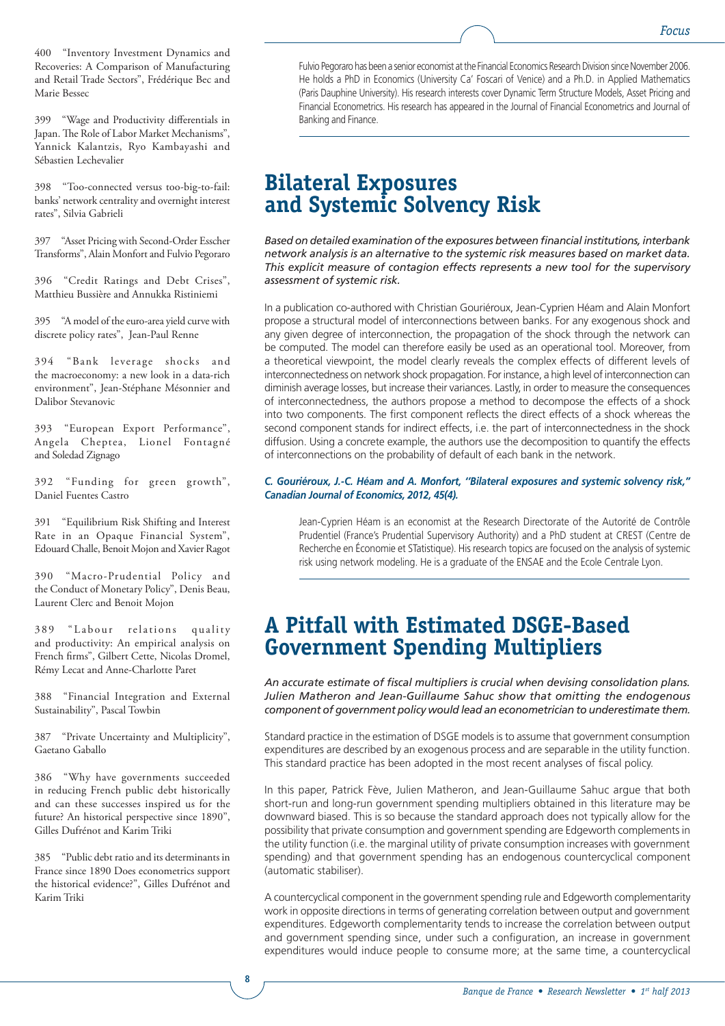400 "Inventory Investment Dynamics and Recoveries: A Comparison of Manufacturing and Retail Trade Sectors", Frédérique Bec and Marie Bessec

399 "Wage and Productivity differentials in Japan. The Role of Labor Market Mechanisms", Yannick Kalantzis, Ryo Kambayashi and Sébastien Lechevalier

398 "Too-connected versus too-big-to-fail: banks' network centrality and overnight interest rates", Silvia Gabrieli

397 "Asset Pricing with Second-Order Esscher Transforms", Alain Monfort and Fulvio Pegoraro

396 "Credit Ratings and Debt Crises", Matthieu Bussière and Annukka Ristiniemi

395 "A model of the euro-area yield curve with discrete policy rates", Jean-Paul Renne

394 "Bank leverage shocks and the macroeconomy: a new look in a data-rich environment", Jean-Stéphane Mésonnier and Dalibor Stevanovic

393 "European Export Performance", Angela Cheptea, Lionel Fontagné and Soledad Zignago

392 "Funding for green growth", Daniel Fuentes Castro

391 "Equilibrium Risk Shifting and Interest Rate in an Opaque Financial System", Edouard Challe, Benoit Mojon and Xavier Ragot

390 "Macro-Prudential Policy and the Conduct of Monetary Policy", Denis Beau, Laurent Clerc and Benoit Mojon

389 "Labour relations quality and productivity: An empirical analysis on French firms", Gilbert Cette, Nicolas Dromel, Rémy Lecat and Anne-Charlotte Paret

388 "Financial Integration and External Sustainability", Pascal Towbin

387 "Private Uncertainty and Multiplicity", Gaetano Gaballo

386 "Why have governments succeeded in reducing French public debt historically and can these successes inspired us for the future? An historical perspective since 1890", Gilles Dufrénot and Karim Triki

385 "Public debt ratio and its determinants in France since 1890 Does econometrics support the historical evidence?", Gilles Dufrénot and Karim Triki

**8**

Fulvio Pegoraro has been a senior economist at the Financial Economics Research Division since November 2006. He holds a PhD in Economics (University Ca' Foscari of Venice) and a Ph.D. in Applied Mathematics (Paris Dauphine University). His research interests cover Dynamic Term Structure Models, Asset Pricing and Financial Econometrics. His research has appeared in the Journal of Financial Econometrics and Journal of Banking and Finance.

## **Bilateral Exposures and Systemic Solvency Risk**

*Based on detailed examination of the exposures between financial institutions, interbank network analysis is an alternative to the systemic risk measures based on market data. This explicit measure of contagion effects represents a new tool for the supervisory assessment of systemic risk.*

In a publication co-authored with Christian Gouriéroux, Jean-Cyprien Héam and Alain Monfort propose a structural model of interconnections between banks. For any exogenous shock and any given degree of interconnection, the propagation of the shock through the network can be computed. The model can therefore easily be used as an operational tool. Moreover, from a theoretical viewpoint, the model clearly reveals the complex effects of different levels of interconnectedness on network shock propagation. For instance, a high level of interconnection can diminish average losses, but increase their variances. Lastly, in order to measure the consequences of interconnectedness, the authors propose a method to decompose the effects of a shock into two components. The first component reflects the direct effects of a shock whereas the second component stands for indirect effects, i.e. the part of interconnectedness in the shock diffusion. Using a concrete example, the authors use the decomposition to quantify the effects of interconnections on the probability of default of each bank in the network.

#### *C. Gouriéroux, J.-C. Héam and A. Monfort, ''Bilateral exposures and systemic solvency risk,'' Canadian Journal of Economics, 2012, 45(4).*

Jean-Cyprien Héam is an economist at the Research Directorate of the Autorité de Contrôle Prudentiel (France's Prudential Supervisory Authority) and a PhD student at CREST (Centre de Recherche en Économie et STatistique). His research topics are focused on the analysis of systemic risk using network modeling. He is a graduate of the ENSAE and the Ecole Centrale Lyon.

## **A Pitfall with Estimated DSGE-Based Government Spending Multipliers**

*An accurate estimate of fiscal multipliers is crucial when devising consolidation plans. Julien Matheron and Jean-Guillaume Sahuc show that omitting the endogenous component of government policy would lead an econometrician to underestimate them.*

Standard practice in the estimation of DSGE models is to assume that government consumption expenditures are described by an exogenous process and are separable in the utility function. This standard practice has been adopted in the most recent analyses of fiscal policy.

In this paper, Patrick Fève, Julien Matheron, and Jean-Guillaume Sahuc argue that both short-run and long-run government spending multipliers obtained in this literature may be downward biased. This is so because the standard approach does not typically allow for the possibility that private consumption and government spending are Edgeworth complements in the utility function (i.e. the marginal utility of private consumption increases with government spending) and that government spending has an endogenous countercyclical component (automatic stabiliser).

A countercyclical component in the government spending rule and Edgeworth complementarity work in opposite directions in terms of generating correlation between output and government expenditures. Edgeworth complementarity tends to increase the correlation between output and government spending since, under such a configuration, an increase in government expenditures would induce people to consume more; at the same time, a countercyclical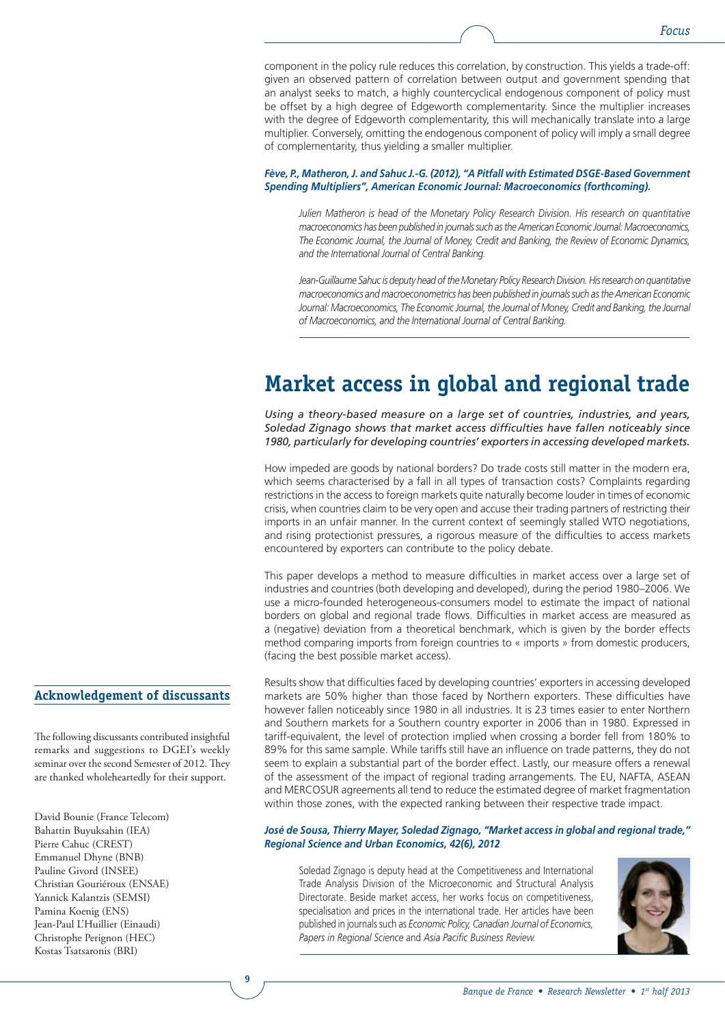component in the policy rule reduces this correlation, by construction. This yields a trade-off: given an observed pattern of correlation between output and government spending that an analyst seeks to match, a highly countercyclical endogenous component of policy must be offset by a high degree of Edgeworth complementarity. Since the multiplier increases with the degree of Edgeworth complementarity, this will mechanically translate into a large multiplier. Conversely, omitting the endogenous component of policy will imply a small degree of complementarity, thus yielding a smaller multiplier.

#### *Fève, P., Matheron, J. and Sahuc J.-G. (2012), "A Pitfall with Estimated DSGE-Based Government Spending Multipliers", American Economic Journal: Macroeconomics (forthcoming).*

*Julien Matheron is head of the Monetary Policy Research Division. His research on quantitative macroeconomics has been published in journals such as the American Economic Journal: Macroeconomics, The Economic Journal, the Journal of Money, Credit and Banking, the Review of Economic Dynamics, and the International Journal of Central Banking.*

*Jean-Guillaume Sahuc is deputy head of the Monetary Policy Research Division. His research on quantitative macroeconomics and macroeconometrics has been published in journals such as the American Economic*  Journal: Macroeconomics, The Economic Journal, the Journal of Money, Credit and Banking, the Journal *of Macroeconomics, and the International Journal of Central Banking.*

## **Market access in global and regional trade**

*Using a theory-based measure on a large set of countries, industries, and years, Soledad Zignago shows that market access difficulties have fallen noticeably since 1980, particularly for developing countries' exporters in accessing developed markets.*

How impeded are goods by national borders? Do trade costs still matter in the modern era, which seems characterised by a fall in all types of transaction costs? Complaints regarding restrictions in the access to foreign markets quite naturally become louder in times of economic crisis, when countries claim to be very open and accuse their trading partners of restricting their imports in an unfair manner. In the current context of seemingly stalled WTO negotiations, and rising protectionist pressures, a rigorous measure of the difficulties to access markets encountered by exporters can contribute to the policy debate.

This paper develops a method to measure difficulties in market access over a large set of industries and countries (both developing and developed), during the period 1980–2006. We use a micro-founded heterogeneous-consumers model to estimate the impact of national borders on global and regional trade flows. Difficulties in market access are measured as a (negative) deviation from a theoretical benchmark, which is given by the border effects method comparing imports from foreign countries to « imports » from domestic producers, (facing the best possible market access).

## **Acknowledgement of discussants**

**9**

The following discussants contributed insightful remarks and suggestions to DGEI's weekly seminar over the second Semester of 2012. They are thanked wholeheartedly for their support.

David Bounie (France Telecom) Bahattin Buyuksahin (IEA) Pierre Cahuc (CREST) Emmanuel Dhyne (BNB) Pauline Givord (INSEE) Christian Gouriéroux (ENSAE) Yannick Kalantzis (SEMSI) Pamina Koenig (ENS) Jean-Paul L'Huillier (Einaudi) Christophe Perignon (HEC) Kostas Tsatsaronis (BRI)

Results show that difficulties faced by developing countries' exporters in accessing developed markets are 50% higher than those faced by Northern exporters. These difficulties have however fallen noticeably since 1980 in all industries. It is 23 times easier to enter Northern and Southern markets for a Southern country exporter in 2006 than in 1980. Expressed in tariff-equivalent, the level of protection implied when crossing a border fell from 180% to 89% for this same sample. While tariffs still have an influence on trade patterns, they do not seem to explain a substantial part of the border effect. Lastly, our measure offers a renewal of the assessment of the impact of regional trading arrangements. The EU, NAFTA, ASEAN and MERCOSUR agreements all tend to reduce the estimated degree of market fragmentation within those zones, with the expected ranking between their respective trade impact.

#### *José de Sousa, Thierry Mayer, Soledad Zignago, ''Market access in global and regional trade,'' Regional Science and Urban Economics, 42(6), 2012*

Soledad Zignago is deputy head at the Competitiveness and International Trade Analysis Division of the Microeconomic and Structural Analysis Directorate. Beside market access, her works focus on competitiveness, specialisation and prices in the international trade. Her articles have been published in journals such as *Economic Policy, Canadian Journal of Economics, Papers in Regional Science* and *Asia Pacific Business Review.*